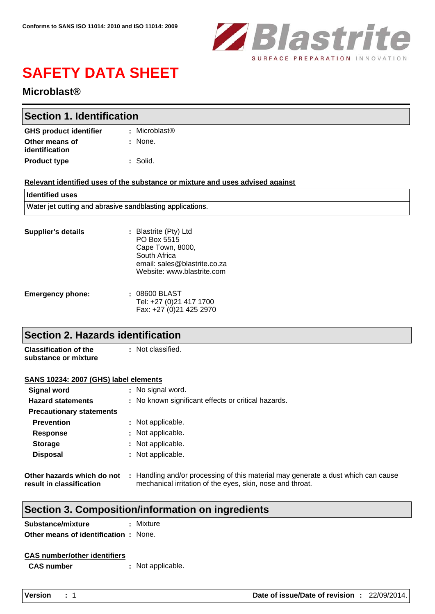

# **SAFETY DATA SHEET**

## **Microblast®**

| <b>Section 1. Identification</b> |                           |  |
|----------------------------------|---------------------------|--|
| <b>GHS product identifier</b>    | : Microblast <sup>®</sup> |  |
| Other means of<br>identification | : None.                   |  |
| <b>Product type</b>              | : Solid.                  |  |

#### **Relevant identified uses of the substance or mixture and uses advised against**

email: sales@blastrite.co.za Website: www.blastrite.com

| l Identified uses                                         |                                                                          |  |
|-----------------------------------------------------------|--------------------------------------------------------------------------|--|
| Water jet cutting and abrasive sandblasting applications. |                                                                          |  |
| <b>Supplier's details</b>                                 | : Blastrite (Pty) Ltd<br>PO Box 5515<br>Cape Town, 8000,<br>South Africa |  |

| <b>Emergency phone:</b> | : 08600 BLAST           |
|-------------------------|-------------------------|
|                         | Tel: +27 (0)21 417 1700 |
|                         | Fax: +27 (0)21 425 2970 |

## **Section 2. Hazards identification**

**Classification of the substance or mixture :**

### **SANS 10234: 2007 (GHS) label elements**

| Signal word                                            | : No signal word.                                                                                                                              |
|--------------------------------------------------------|------------------------------------------------------------------------------------------------------------------------------------------------|
| <b>Hazard statements</b>                               | : No known significant effects or critical hazards.                                                                                            |
| <b>Precautionary statements</b>                        |                                                                                                                                                |
| <b>Prevention</b>                                      | : Not applicable.                                                                                                                              |
| <b>Response</b>                                        | : Not applicable.                                                                                                                              |
| <b>Storage</b>                                         | : Not applicable.                                                                                                                              |
| <b>Disposal</b>                                        | : Not applicable.                                                                                                                              |
| Other hazards which do not<br>result in classification | : Handling and/or processing of this material may generate a dust which can cause<br>mechanical irritation of the eyes, skin, nose and throat. |

## **Section 3. Composition/information on ingredients**

| Substance/mixture                           |  | : Mixture |
|---------------------------------------------|--|-----------|
| <b>Other means of identification: None.</b> |  |           |

#### **CAS number/other identifiers**

**CAS number :** Not applicable.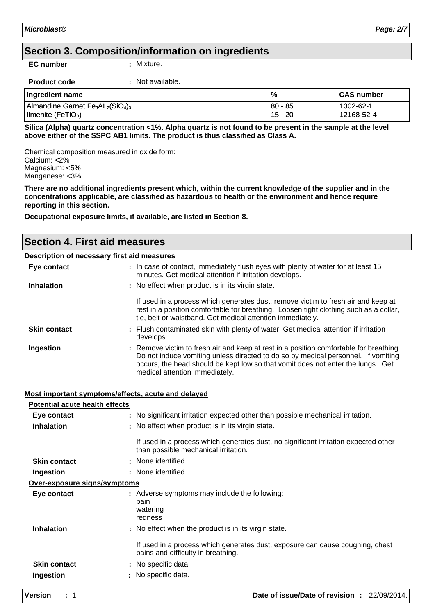## **Section 3. Composition/information on ingredients**

**EC number :** Mixture.

| <b>Product code</b> | Not available. |
|---------------------|----------------|
|                     |                |

| Ingredient name                                                                   | $\%$    | <b>CAS number</b> |
|-----------------------------------------------------------------------------------|---------|-------------------|
| Almandine Garnet Fe <sub>3</sub> AL <sub>2</sub> (SiO <sub>4</sub> ) <sub>3</sub> | 80 - 85 | 1302-62-1         |
| Ilmenite (FeTiO <sub>3</sub> )                                                    | 15 - 20 | 12168-52-4        |

**Silica (Alpha) quartz concentration <1%. Alpha quartz is not found to be present in the sample at the level above either of the SSPC AB1 limits. The product is thus classified as Class A.**

Chemical composition measured in oxide form: Calcium: <2% Magnesium: <5% Manganese: <3%

**There are no additional ingredients present which, within the current knowledge of the supplier and in the concentrations applicable, are classified as hazardous to health or the environment and hence require reporting in this section.**

**Occupational exposure limits, if available, are listed in Section 8.**

# **Section 4. First aid measures**

#### **Description of necessary first aid measures**

| Eye contact         | : In case of contact, immediately flush eyes with plenty of water for at least 15<br>minutes. Get medical attention if irritation develops.                                                                                                                                                      |
|---------------------|--------------------------------------------------------------------------------------------------------------------------------------------------------------------------------------------------------------------------------------------------------------------------------------------------|
| <b>Inhalation</b>   | : No effect when product is in its virgin state.                                                                                                                                                                                                                                                 |
|                     | If used in a process which generates dust, remove victim to fresh air and keep at<br>rest in a position comfortable for breathing. Loosen tight clothing such as a collar,<br>tie, belt or waistband. Get medical attention immediately.                                                         |
| <b>Skin contact</b> | : Flush contaminated skin with plenty of water. Get medical attention if irritation<br>develops.                                                                                                                                                                                                 |
| Ingestion           | : Remove victim to fresh air and keep at rest in a position comfortable for breathing.<br>Do not induce vomiting unless directed to do so by medical personnel. If vomiting<br>occurs, the head should be kept low so that vomit does not enter the lungs. Get<br>medical attention immediately. |

#### **Most important symptoms/effects, acute and delayed**

| <b>Potential acute health effects</b> |                                                                                                                             |  |
|---------------------------------------|-----------------------------------------------------------------------------------------------------------------------------|--|
| Eye contact                           | : No significant irritation expected other than possible mechanical irritation.                                             |  |
| <b>Inhalation</b>                     | : No effect when product is in its virgin state.                                                                            |  |
|                                       | If used in a process which generates dust, no significant irritation expected other<br>than possible mechanical irritation. |  |
| <b>Skin contact</b>                   | : None identified.                                                                                                          |  |
| Ingestion                             | : None identified.                                                                                                          |  |
| Over-exposure signs/symptoms          |                                                                                                                             |  |
| Eye contact                           | : Adverse symptoms may include the following:<br>pain<br>watering<br>redness                                                |  |
| <b>Inhalation</b>                     | : No effect when the product is in its virgin state.                                                                        |  |
|                                       | If used in a process which generates dust, exposure can cause coughing, chest<br>pains and difficulty in breathing.         |  |
| <b>Skin contact</b>                   | : No specific data.                                                                                                         |  |
| Ingestion                             | No specific data.                                                                                                           |  |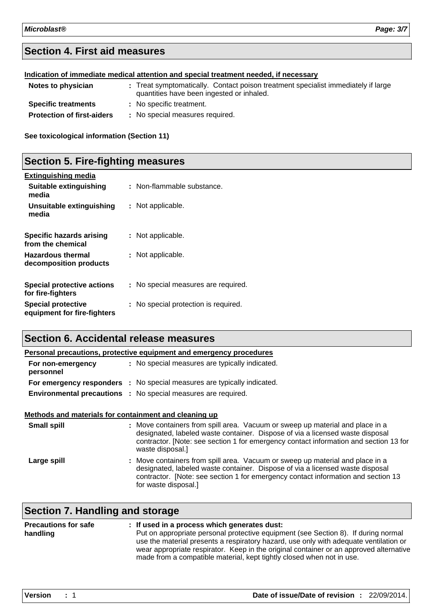# **Section 4. First aid measures**

| Indication of immediate medical attention and special treatment needed, if necessary |                                           |                                                                                   |
|--------------------------------------------------------------------------------------|-------------------------------------------|-----------------------------------------------------------------------------------|
| Notes to physician                                                                   | quantities have been ingested or inhaled. | : Treat symptomatically. Contact poison treatment specialist immediately if large |
| <b>Specific treatments</b>                                                           | : No specific treatment.                  |                                                                                   |
| <b>Protection of first-aiders</b>                                                    | : No special measures required.           |                                                                                   |

**See toxicological information (Section 11)**

## **Section 5. Fire-fighting measures**

| <b>Extinguishing media</b>                               |                                      |
|----------------------------------------------------------|--------------------------------------|
| Suitable extinguishing<br>media                          | : Non-flammable substance.           |
| Unsuitable extinguishing<br>media                        | : Not applicable.                    |
| Specific hazards arising<br>from the chemical            | : Not applicable.                    |
| <b>Hazardous thermal</b><br>decomposition products       | : Not applicable.                    |
| <b>Special protective actions</b><br>for fire-fighters   | : No special measures are required.  |
| <b>Special protective</b><br>equipment for fire-fighters | : No special protection is required. |

## **Section 6. Accidental release measures**

| Personal precautions, protective equipment and emergency procedures |  |                                                                         |  |
|---------------------------------------------------------------------|--|-------------------------------------------------------------------------|--|
| For non-emergency<br>personnel                                      |  | : No special measures are typically indicated.                          |  |
|                                                                     |  | For emergency responders : No special measures are typically indicated. |  |
|                                                                     |  | <b>Environmental precautions :</b> No special measures are required.    |  |

#### **Methods and materials for containment and cleaning up**

| <b>Small spill</b> | : Move containers from spill area. Vacuum or sweep up material and place in a<br>designated, labeled waste container. Dispose of via a licensed waste disposal<br>contractor. [Note: see section 1 for emergency contact information and section 13 for<br>waste disposal.] |
|--------------------|-----------------------------------------------------------------------------------------------------------------------------------------------------------------------------------------------------------------------------------------------------------------------------|
| Large spill        | : Move containers from spill area. Vacuum or sweep up material and place in a<br>designated, labeled waste container. Dispose of via a licensed waste disposal<br>contractor. [Note: see section 1 for emergency contact information and section 13<br>for waste disposal.] |

# **Section 7. Handling and storage**

| <b>Precautions for safe</b> | : If used in a process which generates dust:                                                                                                                                |
|-----------------------------|-----------------------------------------------------------------------------------------------------------------------------------------------------------------------------|
| handling                    | Put on appropriate personal protective equipment (see Section 8). If during normal<br>use the material presents a respiratory hazard, use only with adequate ventilation or |
|                             | wear appropriate respirator. Keep in the original container or an approved alternative<br>made from a compatible material, kept tightly closed when not in use.             |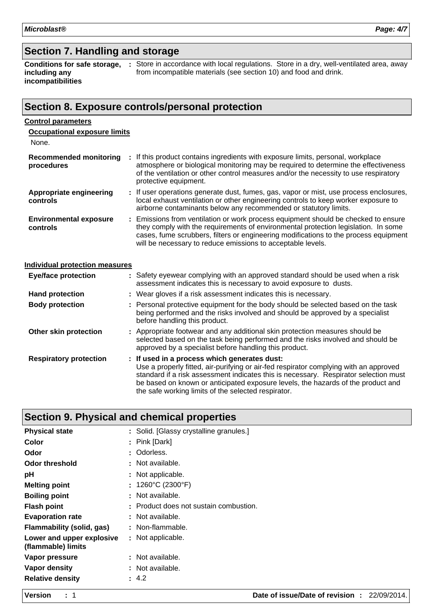## **Section 7. Handling and storage**

**including any incompatibilities**

**Conditions for safe storage,** : Store in accordance with local regulations. Store in a dry, well-ventilated area, away from incompatible materials (see section 10) and food and drink.

## **Section 8. Exposure controls/personal protection**

#### **Control parameters**

| ×<br>۹<br>٧ |  |
|-------------|--|
|-------------|--|

| <b>Recommended monitoring</b><br>procedures | : If this product contains ingredients with exposure limits, personal, workplace<br>atmosphere or biological monitoring may be required to determine the effectiveness<br>of the ventilation or other control measures and/or the necessity to use respiratory<br>protective equipment.                                         |
|---------------------------------------------|---------------------------------------------------------------------------------------------------------------------------------------------------------------------------------------------------------------------------------------------------------------------------------------------------------------------------------|
| <b>Appropriate engineering</b><br>controls  | : If user operations generate dust, fumes, gas, vapor or mist, use process enclosures,<br>local exhaust ventilation or other engineering controls to keep worker exposure to<br>airborne contaminants below any recommended or statutory limits.                                                                                |
| <b>Environmental exposure</b><br>controls   | : Emissions from ventilation or work process equipment should be checked to ensure<br>they comply with the requirements of environmental protection legislation. In some<br>cases, fume scrubbers, filters or engineering modifications to the process equipment<br>will be necessary to reduce emissions to acceptable levels. |

## **Individual protection measures**

| <b>Eye/face protection</b>    | : Safety eyewear complying with an approved standard should be used when a risk<br>assessment indicates this is necessary to avoid exposure to dusts.                                                                                                                                                                                                                    |
|-------------------------------|--------------------------------------------------------------------------------------------------------------------------------------------------------------------------------------------------------------------------------------------------------------------------------------------------------------------------------------------------------------------------|
| <b>Hand protection</b>        | : Wear gloves if a risk assessment indicates this is necessary.                                                                                                                                                                                                                                                                                                          |
| <b>Body protection</b>        | : Personal protective equipment for the body should be selected based on the task<br>being performed and the risks involved and should be approved by a specialist<br>before handling this product.                                                                                                                                                                      |
| Other skin protection         | : Appropriate footwear and any additional skin protection measures should be<br>selected based on the task being performed and the risks involved and should be<br>approved by a specialist before handling this product.                                                                                                                                                |
| <b>Respiratory protection</b> | : If used in a process which generates dust:<br>Use a properly fitted, air-purifying or air-fed respirator complying with an approved<br>standard if a risk assessment indicates this is necessary. Respirator selection must<br>be based on known or anticipated exposure levels, the hazards of the product and<br>the safe working limits of the selected respirator. |

## **Section 9. Physical and chemical properties**

| <b>Physical state</b>                           | : Solid. [Glassy crystalline granules.] |
|-------------------------------------------------|-----------------------------------------|
| Color                                           | : Pink [Dark]                           |
| Odor                                            | : Odorless.                             |
| <b>Odor threshold</b>                           | : Not available.                        |
| pH                                              | : Not applicable.                       |
| <b>Melting point</b>                            | : $1260^{\circ}$ C (2300 $^{\circ}$ F)  |
| <b>Boiling point</b>                            | : Not available.                        |
| <b>Flash point</b>                              | : Product does not sustain combustion.  |
| <b>Evaporation rate</b>                         | : Not available.                        |
| Flammability (solid, gas)                       | : Non-flammable.                        |
| Lower and upper explosive<br>(flammable) limits | : Not applicable.                       |
| Vapor pressure                                  | : Not available.                        |
| Vapor density                                   | : Not available.                        |
| <b>Relative density</b>                         | : 4.2                                   |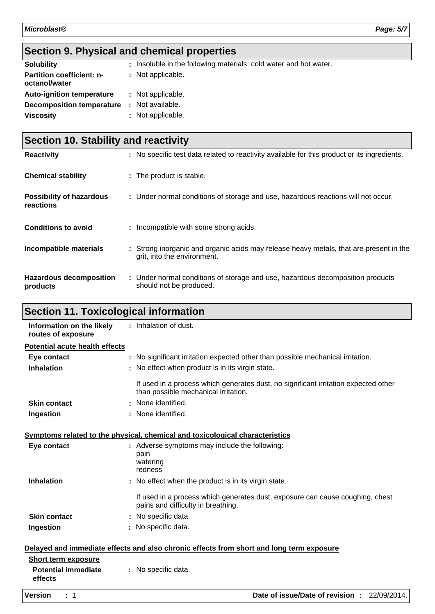# **Section 9. Physical and chemical properties**

| <b>Solubility</b>                                 | : Insoluble in the following materials: cold water and hot water. |
|---------------------------------------------------|-------------------------------------------------------------------|
| <b>Partition coefficient: n-</b><br>octanol/water | : Not applicable.                                                 |
| <b>Auto-ignition temperature</b>                  | : Not applicable.                                                 |
| <b>Decomposition temperature</b>                  | : Not available.                                                  |
| <b>Viscosity</b>                                  | : Not applicable.                                                 |

| <b>Section 10. Stability and reactivity</b>  |                                                                                                                       |  |
|----------------------------------------------|-----------------------------------------------------------------------------------------------------------------------|--|
| <b>Reactivity</b>                            | : No specific test data related to reactivity available for this product or its ingredients.                          |  |
| <b>Chemical stability</b>                    | : The product is stable.                                                                                              |  |
| <b>Possibility of hazardous</b><br>reactions | : Under normal conditions of storage and use, hazardous reactions will not occur.                                     |  |
| <b>Conditions to avoid</b>                   | : Incompatible with some strong acids.                                                                                |  |
| Incompatible materials                       | : Strong inorganic and organic acids may release heavy metals, that are present in the<br>grit, into the environment. |  |
| <b>Hazardous decomposition</b><br>products   | : Under normal conditions of storage and use, hazardous decomposition products<br>should not be produced.             |  |

# **Section 11. Toxicological information**

| Information on the likely<br>routes of exposure                                          |  | : Inhalation of dust.                                                                                                       |
|------------------------------------------------------------------------------------------|--|-----------------------------------------------------------------------------------------------------------------------------|
| <b>Potential acute health effects</b>                                                    |  |                                                                                                                             |
| Eye contact                                                                              |  | : No significant irritation expected other than possible mechanical irritation.                                             |
| <b>Inhalation</b>                                                                        |  | : No effect when product is in its virgin state.                                                                            |
|                                                                                          |  | If used in a process which generates dust, no significant irritation expected other<br>than possible mechanical irritation. |
| <b>Skin contact</b>                                                                      |  | : None identified.                                                                                                          |
| Ingestion                                                                                |  | : None identified.                                                                                                          |
|                                                                                          |  | Symptoms related to the physical, chemical and toxicological characteristics                                                |
| Eye contact                                                                              |  | : Adverse symptoms may include the following:<br>pain<br>watering<br>redness                                                |
| <b>Inhalation</b>                                                                        |  | : No effect when the product is in its virgin state.                                                                        |
|                                                                                          |  | If used in a process which generates dust, exposure can cause coughing, chest<br>pains and difficulty in breathing.         |
| <b>Skin contact</b>                                                                      |  | : No specific data.                                                                                                         |
| Ingestion                                                                                |  | : No specific data.                                                                                                         |
| Delayed and immediate effects and also chronic effects from short and long term exposure |  |                                                                                                                             |
| <b>Short term exposure</b>                                                               |  |                                                                                                                             |
| <b>Potential immediate</b><br>effects                                                    |  | : No specific data.                                                                                                         |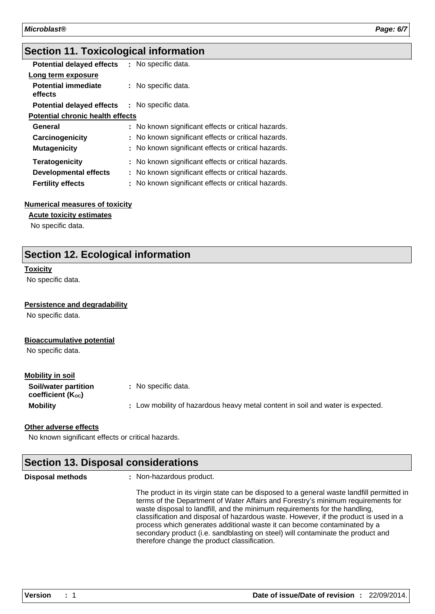## **Section 11. Toxicological information**

| <b>Potential delayed effects</b>        | : No specific data.                                 |  |  |  |
|-----------------------------------------|-----------------------------------------------------|--|--|--|
| Long term exposure                      |                                                     |  |  |  |
| <b>Potential immediate</b><br>effects   | : No specific data.                                 |  |  |  |
| <b>Potential delayed effects</b>        | : No specific data.                                 |  |  |  |
| <b>Potential chronic health effects</b> |                                                     |  |  |  |
| General                                 | : No known significant effects or critical hazards. |  |  |  |
| Carcinogenicity                         | : No known significant effects or critical hazards. |  |  |  |
| <b>Mutagenicity</b>                     | : No known significant effects or critical hazards. |  |  |  |
| <b>Teratogenicity</b>                   | : No known significant effects or critical hazards. |  |  |  |
| <b>Developmental effects</b>            | : No known significant effects or critical hazards. |  |  |  |
| <b>Fertility effects</b>                | : No known significant effects or critical hazards. |  |  |  |

#### **Numerical measures of toxicity**

**Acute toxicity estimates**

No specific data.

## **Section 12. Ecological information**

#### **Toxicity**

No specific data.

#### **Persistence and degradability**

No specific data.

#### **Bioaccumulative potential**

No specific data.

#### **Mobility in soil**

| Soil/water partition<br>coefficient (K <sub>oc</sub> ) | : No specific data.                                                            |
|--------------------------------------------------------|--------------------------------------------------------------------------------|
| <b>Mobility</b>                                        | : Low mobility of hazardous heavy metal content in soil and water is expected. |

#### **Other adverse effects**

No known significant effects or critical hazards.

## **Section 13. Disposal considerations** Non-hazardous product. The product in its virgin state can be disposed to a general waste landfill permitted in **Disposal methods :**

terms of the Department of Water Affairs and Forestry's minimum requirements for waste disposal to landfill, and the minimum requirements for the handling, classification and disposal of hazardous waste. However, if the product is used in a process which generates additional waste it can become contaminated by a secondary product (i.e. sandblasting on steel) will contaminate the product and therefore change the product classification.